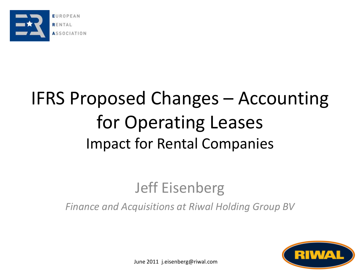

#### IFRS Proposed Changes – Accounting for Operating Leases Impact for Rental Companies

#### Jeff Eisenberg

*Finance and Acquisitions at Riwal Holding Group BV*



June 2011 j.eisenberg@riwal.com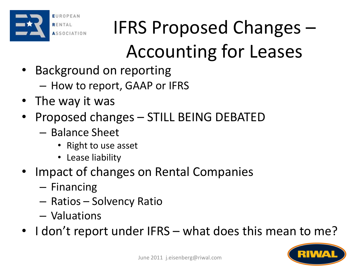

## IFRS Proposed Changes – Accounting for Leases

- Background on reporting
	- How to report, GAAP or IFRS
- The way it was
- Proposed changes STILL BEING DEBATED
	- Balance Sheet
		- Right to use asset
		- Lease liability
- Impact of changes on Rental Companies
	- Financing
	- Ratios Solvency Ratio
	- Valuations
- I don't report under IFRS what does this mean to me?

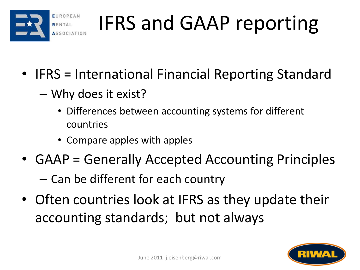

# IFRS and GAAP reporting

- IFRS = International Financial Reporting Standard
	- Why does it exist?
		- Differences between accounting systems for different countries
		- Compare apples with apples
- GAAP = Generally Accepted Accounting Principles

– Can be different for each country

• Often countries look at IFRS as they update their accounting standards; but not always

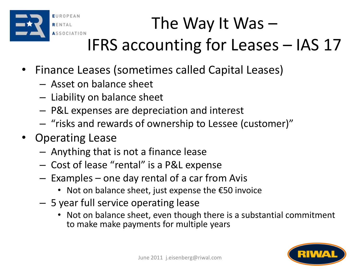

#### The Way It Was – IFRS accounting for Leases – IAS 17

- Finance Leases (sometimes called Capital Leases)
	- Asset on balance sheet
	- Liability on balance sheet
	- P&L expenses are depreciation and interest
	- "risks and rewards of ownership to Lessee (customer)"
- Operating Lease
	- Anything that is not a finance lease
	- Cost of lease "rental" is a P&L expense
	- Examples one day rental of a car from Avis
		- Not on balance sheet, just expense the €50 invoice
	- 5 year full service operating lease
		- Not on balance sheet, even though there is a substantial commitment to make make payments for multiple years

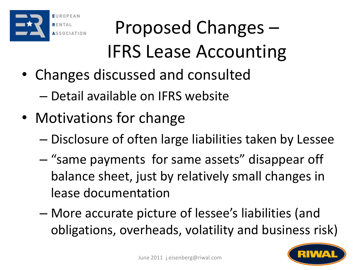

## Proposed Changes – IFRS Lease Accounting

• Changes discussed and consulted

– Detail available on IFRS website

- Motivations for change
	- Disclosure of often large liabilities taken by Lessee
	- "same payments for same assets" disappear off balance sheet, just by relatively small changes in lease documentation
	- More accurate picture of lessee's liabilities (and obligations, overheads, volatility and business risk)

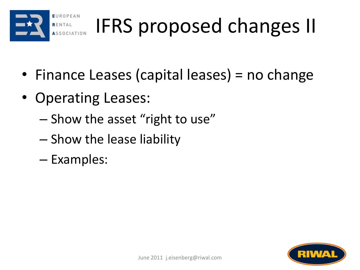

# IFRS proposed changes II

- Finance Leases (capital leases) = no change
- Operating Leases:
	- Show the asset "right to use"
	- Show the lease liability
	- Examples:

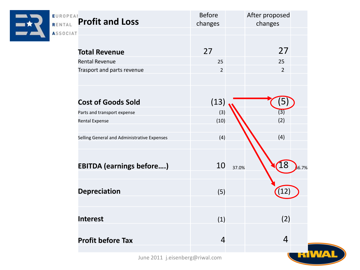| $\rightarrow$ | <b>E</b> UROPEAI<br>RENTAL | <b>Profit and Loss</b>                      | <b>Before</b><br>changes | After proposed<br>changes |                |
|---------------|----------------------------|---------------------------------------------|--------------------------|---------------------------|----------------|
|               | ASSOCIAT                   |                                             |                          |                           |                |
|               |                            | <b>Total Revenue</b>                        | 27                       |                           | 27             |
|               |                            | <b>Rental Revenue</b>                       | 25                       |                           | 25             |
|               |                            | Trasport and parts revenue                  | $\overline{2}$           |                           | $\overline{2}$ |
|               |                            |                                             |                          |                           |                |
|               |                            |                                             |                          |                           |                |
|               |                            | <b>Cost of Goods Sold</b>                   | (13)                     |                           | (5)            |
|               |                            | Parts and transport expense                 | (3)                      |                           | (3)            |
|               |                            | Rental Expense                              | (10)                     |                           | (2)            |
|               |                            |                                             |                          |                           |                |
|               |                            | Selling General and Administrative Expenses | (4)                      |                           | (4)            |
|               |                            |                                             |                          |                           |                |
|               |                            | <b>EBITDA (earnings before)</b>             | 10                       |                           | 18             |
|               |                            |                                             |                          | 37.0%                     | 6.7%           |
|               |                            |                                             |                          |                           |                |
|               |                            | <b>Depreciation</b>                         | (5)                      |                           | (12)           |
|               |                            |                                             |                          |                           |                |
|               |                            |                                             |                          |                           |                |
|               |                            | <b>Interest</b>                             | (1)                      |                           | (2)            |
|               |                            |                                             |                          |                           |                |
|               |                            | <b>Profit before Tax</b>                    | $\overline{4}$           |                           | $\overline{4}$ |
|               |                            | June 2011 <i>i.eisenberg</i> @riwal.com     |                          |                           |                |

June 2011 j.eisenberg@riwal.com

Œ.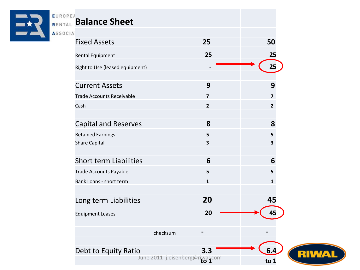| $\Rightarrow$ | EUROPEA<br><b>RENTAL Balance Sheet</b><br>ASSOCIA |                                 |                |
|---------------|---------------------------------------------------|---------------------------------|----------------|
|               | <b>Fixed Assets</b>                               | 25                              | 50             |
|               | <b>Rental Equipment</b>                           | 25                              | 25             |
|               | Right to Use (leased equipment)                   |                                 | 25             |
|               | <b>Current Assets</b>                             | 9                               | 9              |
|               | <b>Trade Accounts Receivable</b>                  | $\overline{\mathbf{z}}$         | $\overline{7}$ |
|               | Cash                                              | $\overline{2}$                  | $\overline{2}$ |
|               |                                                   |                                 |                |
|               | <b>Capital and Reserves</b>                       | 8                               | 8              |
|               | <b>Retained Earnings</b>                          | 5                               | 5              |
|               | <b>Share Capital</b>                              | $\overline{\mathbf{3}}$         | 3              |
|               | <b>Short term Liabilities</b>                     | 6                               | 6              |
|               | <b>Trade Accounts Payable</b>                     | 5                               | 5              |
|               | Bank Loans - short term                           | $\mathbf{1}$                    | $\mathbf{1}$   |
|               | Long term Liabilities                             | 20                              | 45             |
|               | <b>Equipment Leases</b>                           | 20                              | 45             |
|               |                                                   |                                 |                |
|               |                                                   | checksum                        |                |
|               | Debt to Equity Ratio                              | 3.3                             | 6.4            |
|               |                                                   | June 2011 j.eisenberg@riwal.com | to $1$         |